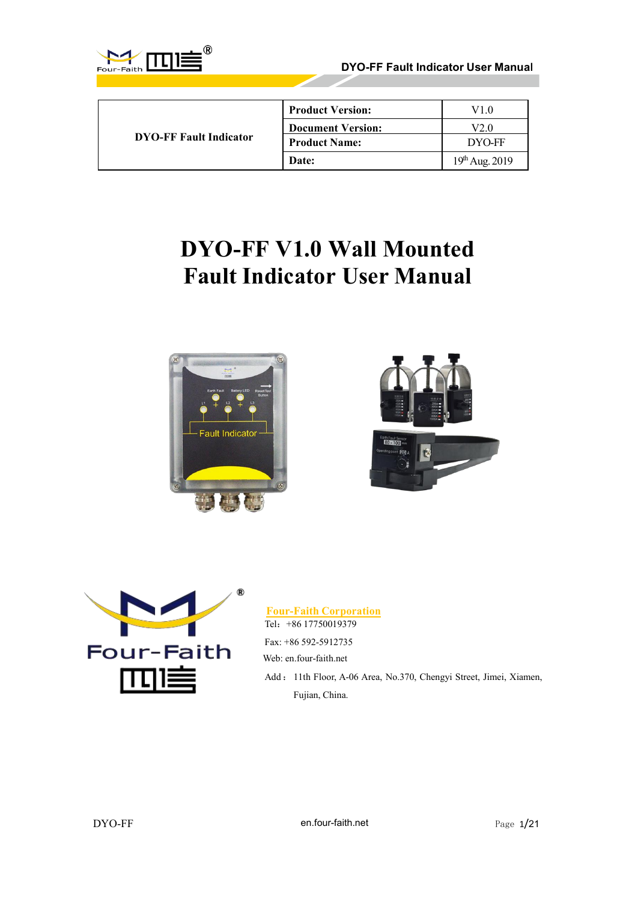

| <b>DYO-FF Fault Indicator</b> | <b>Product Version:</b>  | V1.0             |
|-------------------------------|--------------------------|------------------|
|                               | <b>Document Version:</b> | V2.0             |
|                               | <b>Product Name:</b>     | DYO-FF           |
|                               | Date:                    | $19th$ Aug. 2019 |

# **DYO-FF V1.0 Wall Mounted Fault Indicator User Manual**







**Four-Faith Corporation**

Tel:+86 17750019379

Fax: +86 592-5912735

Web: en.four-faith.net

Add:11th Floor, A-06 Area, No.370, Chengyi Street, Jimei, Xiamen, Fujian, China.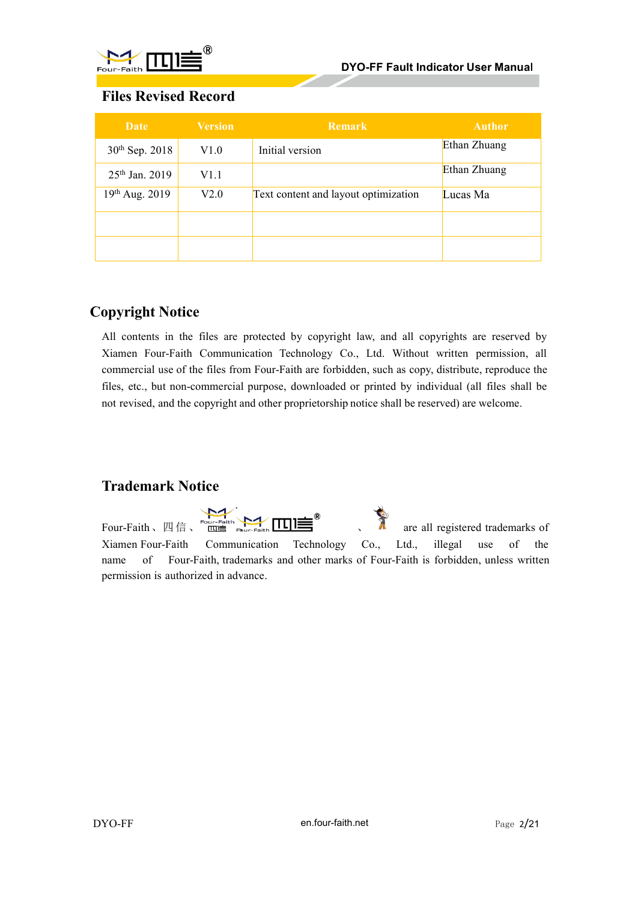

### **Files Revised Record**

| <b>Date</b>         | <b>Version</b> | <b>Remark</b>                        | <b>Author</b> |
|---------------------|----------------|--------------------------------------|---------------|
| $30^{th}$ Sep. 2018 | V1.0           | Initial version                      | Ethan Zhuang  |
| $25th$ Jan. 2019    | V1.1           |                                      | Ethan Zhuang  |
| 19th Aug. 2019      | V2.0           | Text content and layout optimization | Lucas Ma      |
|                     |                |                                      |               |
|                     |                |                                      |               |

### **Copyright Notice**

All contents in the files are protected by copyright law, and all copyrights are reserved by Xiamen Four-Faith Communication Technology Co., Ltd. Without written permission, all commercial use of the files from Four-Faith are forbidden, such as copy, distribute, reproduce the files, etc., but non-commercial purpose, downloaded or printed by individual (all files shall be not revised, and the copyright and other proprietorship notice shall be reserved) are welcome.

### **Trademark Notice**

Four-Faith  $\sum_{\text{Four-Faith}}$   $\sum_{\text{Four-Faith}}$   $\sum_{\text{Four-Faith}}$   $\sum_{\text{Four-Faith}}$   $\sum_{\text{Four-Faith}}$   $\sum_{\text{Four-Faith}}$   $\sum_{\text{Four-Faith}}$   $\sum_{\text{Four-Faith}}$   $\sum_{\text{Four-Faith}}$   $\sum_{\text{Four-Faith}}$   $\sum_{\text{Four-Faith}}$   $\sum_{\text{Four-Faith}}$   $\sum_{\text{Four-Faith}}$   $\sum_{\text{Four-Faith}}$   $\sum_{\text{Four-Faith}}$  Xiamen Four-Faith Communication Technology Co., Ltd., illegal use of the name of Four-Faith, trademarks and other marks of Four-Faith is forbidden, unless written permission is authorized in advance.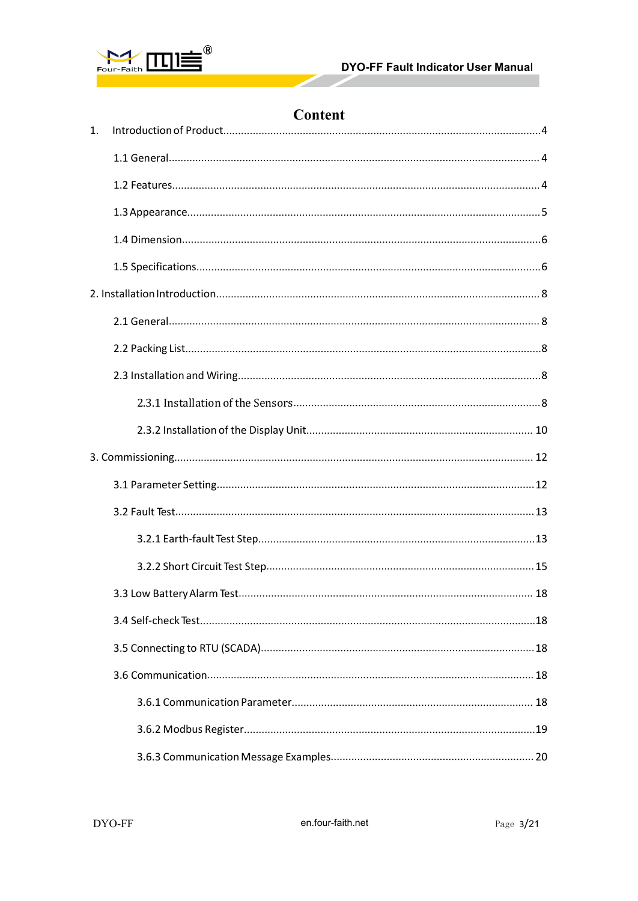

## Content

| $\mathbf{1}$ . |  |
|----------------|--|
|                |  |
|                |  |
|                |  |
|                |  |
|                |  |
|                |  |
|                |  |
|                |  |
|                |  |
|                |  |
|                |  |
|                |  |
|                |  |
|                |  |
|                |  |
|                |  |
|                |  |
|                |  |
|                |  |
|                |  |
|                |  |
|                |  |
|                |  |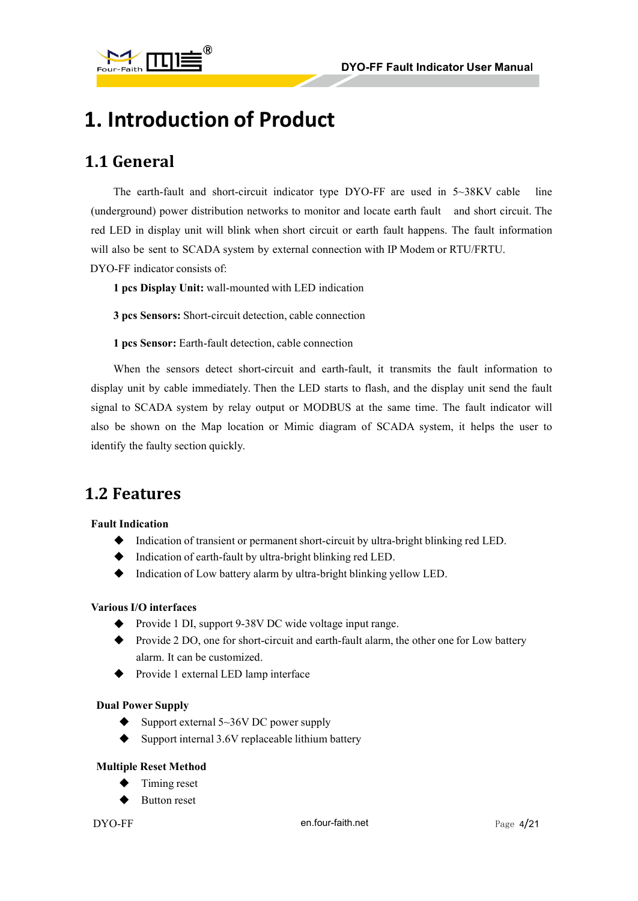

# <span id="page-3-0"></span>**1. Introduction of Product**

## <span id="page-3-1"></span>**1.1 General**

The earth-fault and short-circuit indicator type DYO-FF are used in 5~38KV cable line (underground) power distribution networks to monitor and locate earth fault and short circuit. The red LED in display unit will blink when short circuit or earth fault happens. The fault information will also be sent to SCADA system by external connection with IP Modem or RTU/FRTU. DYO-FF indicator consists of:

**1 pcs Display Unit:** wall-mounted with LED indication

**3 pcs Sensors:** Short-circuit detection, cable connection

**1 pcs Sensor:** Earth-fault detection, cable connection

When the sensors detect short-circuit and earth-fault, it transmits the fault information to display unit by cable immediately. Then the LED starts to flash, and the display unit send the fault signal to SCADA system by relay output or MODBUS at the same time. The fault indicator will also be shown on the Map location or Mimic diagram of SCADA system, it helps the user to identify the faulty section quickly.

## <span id="page-3-2"></span>**1.2 Features**

**Fault Indication**

- Indication of transient or permanent short-circuit by ultra-bright blinking red LED.
- Indication of earth-fault by ultra-bright blinking red LED.
- Indication of Low battery alarm by ultra-bright blinking yellow LED.

#### **Various I/O interfaces**

- Provide 1 DI, support 9-38V DC wide voltage input range.
- Provide 2 DO, one for short-circuit and earth-fault alarm, the other one for Low battery alarm. It can be customized.
- ◆ Provide 1 external LED lamp interface

#### **Dual Power Supply**

- $\blacklozenge$  Support external 5~36V DC power supply
- Support internal 3.6V replaceable lithium battery

#### **Multiple Reset Method**

- Timing reset
- Button reset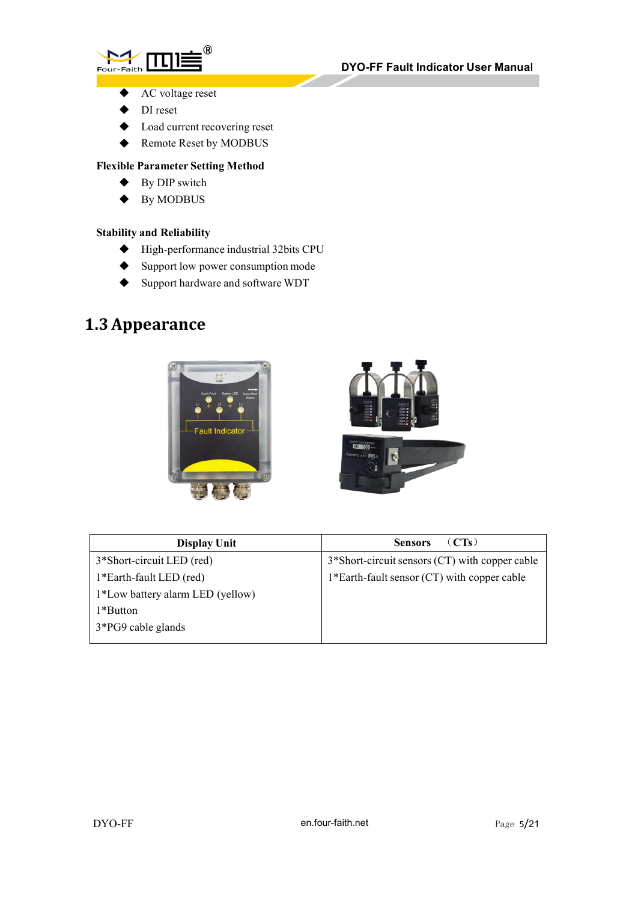



- ◆ AC voltage reset
- DI reset
- Load current recovering reset
- Remote Reset by MODBUS

#### **Flexible Parameter Setting Method**

- $\blacklozenge$  By DIP switch
- $\blacklozenge$  By MODBUS

#### **Stability and Reliability**

- High-performance industrial 32bits CPU
- Support low power consumption mode
- Support hardware and software WDT

## <span id="page-4-0"></span>**1.3Appearance**





| <b>Display Unit</b>              | (CTs)<br><b>Sensors</b>                        |
|----------------------------------|------------------------------------------------|
| 3*Short-circuit LED (red)        | 3*Short-circuit sensors (CT) with copper cable |
| 1*Earth-fault LED (red)          | 1*Earth-fault sensor (CT) with copper cable    |
| 1*Low battery alarm LED (yellow) |                                                |
| 1*Button                         |                                                |
| 3*PG9 cable glands               |                                                |
|                                  |                                                |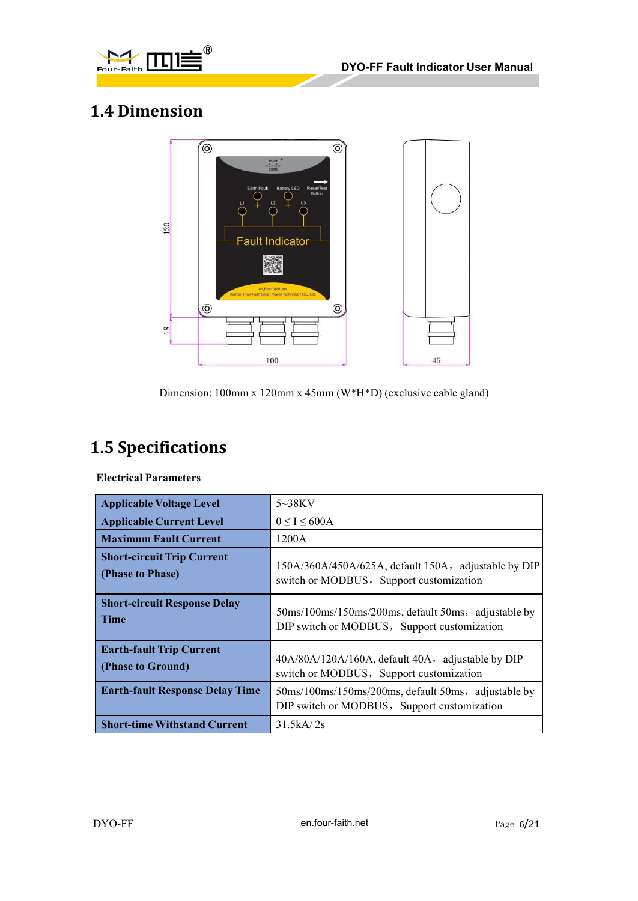



## <span id="page-5-0"></span>**1.4 Dimension**



Dimension: 100mm x 120mm x 45mm (W\*H\*D) (exclusive cable gland)

## <span id="page-5-1"></span>**1.5 Specifications**

#### **Electrical Parameters**

| <b>Applicable Voltage Level</b>                       | $5 \sim 38$ KV                                                                                     |
|-------------------------------------------------------|----------------------------------------------------------------------------------------------------|
| <b>Applicable Current Level</b>                       | $0 \leq I \leq 600$ A                                                                              |
| <b>Maximum Fault Current</b>                          | 1200A                                                                                              |
| <b>Short-circuit Trip Current</b><br>(Phase to Phase) | 150A/360A/450A/625A, default 150A, adjustable by DIP<br>switch or MODBUS, Support customization    |
| <b>Short-circuit Response Delay</b><br><b>Time</b>    | 50ms/100ms/150ms/200ms, default 50ms, adjustable by<br>DIP switch or MODBUS, Support customization |
| <b>Earth-fault Trip Current</b><br>(Phase to Ground)  | 40A/80A/120A/160A, default 40A, adjustable by DIP<br>switch or MODBUS, Support customization       |
| <b>Earth-fault Response Delay Time</b>                | 50ms/100ms/150ms/200ms, default 50ms, adjustable by<br>DIP switch or MODBUS, Support customization |
| <b>Short-time Withstand Current</b>                   | 31.5kA/2s                                                                                          |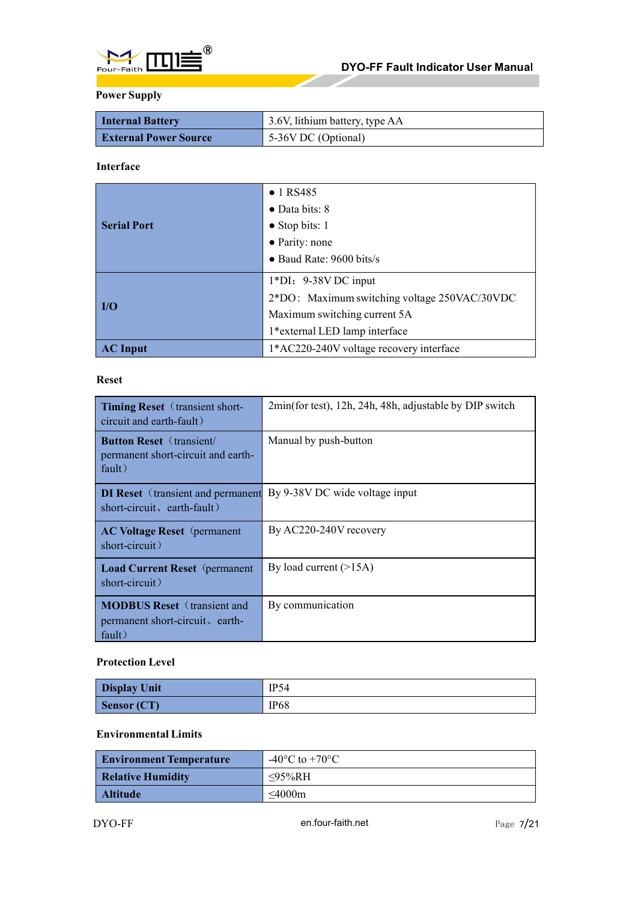

### **Power Supply**

| <b>Internal Battery</b>      | $\parallel$ 3.6V, lithium battery, type AA |
|------------------------------|--------------------------------------------|
| <b>External Power Source</b> | $\vert$ 5-36V DC (Optional)                |

#### **Interface**

| <b>Serial Port</b> | $\bullet$ 1 RS485                            |
|--------------------|----------------------------------------------|
|                    | $\bullet$ Data bits: 8                       |
|                    | $\bullet$ Stop bits: 1                       |
|                    | • Parity: none                               |
|                    | • Baud Rate: 9600 bits/s                     |
| $l/O$              | $1*DI: 9-38VDC$ input                        |
|                    | 2*DO: Maximum switching voltage 250VAC/30VDC |
|                    | Maximum switching current 5A                 |
|                    | 1*external LED lamp interface                |
| <b>AC</b> Input    | 1*AC220-240V voltage recovery interface      |

#### **Reset**

| <b>Timing Reset</b> (transient short-<br>$circuit$ and earth-fault)             | 2min(for test), 12h, 24h, 48h, adjustable by DIP switch |
|---------------------------------------------------------------------------------|---------------------------------------------------------|
| <b>Button Reset</b> (transient/<br>permanent short-circuit and earth-<br>fault) | Manual by push-button                                   |
| <b>DI Reset</b> (transient and permanent<br>short-circuit, earth-fault)         | By 9-38V DC wide voltage input                          |
| <b>AC Voltage Reset</b> (permanent<br>short-circuit)                            | By AC220-240V recovery                                  |
| <b>Load Current Reset</b> (permanent<br>short-circuit)                          | By load current $(>15A)$                                |
| <b>MODBUS Reset</b> (transient and<br>permanent short-circuit, earth-<br>fault) | By communication                                        |

#### **Protection Level**

| <b>Display Unit</b> | IP54        |
|---------------------|-------------|
| Sensor (CT)         | <b>IP68</b> |

#### **Environmental Limits**

| <b>Environment Temperature</b> | -40 $^{\circ}$ C to +70 $^{\circ}$ C |
|--------------------------------|--------------------------------------|
| Relative Humidity              | $\leq$ 95%RH                         |
| <b>Altitude</b>                | $\leq 4000$ m                        |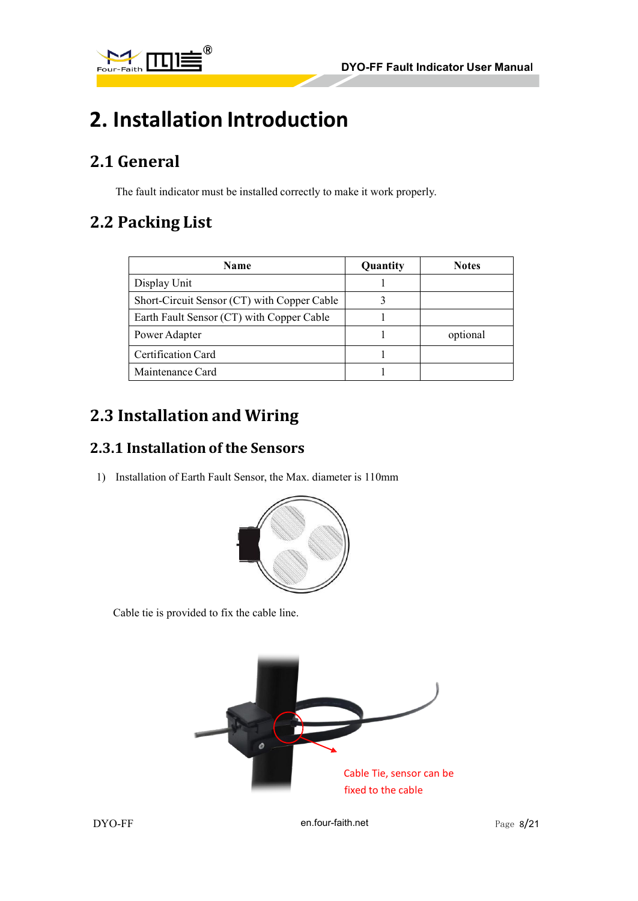

# <span id="page-7-0"></span>**2. Installation Introduction**

## <span id="page-7-1"></span>**2.1 General**

The fault indicator must be installed correctly to make it work properly.

## <span id="page-7-2"></span>**2.2 Packing List**

| Name                                        | Quantity | <b>Notes</b> |
|---------------------------------------------|----------|--------------|
| Display Unit                                |          |              |
| Short-Circuit Sensor (CT) with Copper Cable |          |              |
| Earth Fault Sensor (CT) with Copper Cable   |          |              |
| Power Adapter                               |          | optional     |
| Certification Card                          |          |              |
| Maintenance Card                            |          |              |

## <span id="page-7-3"></span>**2.3 Installation and Wiring**

### <span id="page-7-4"></span>**2.3.1 Installation of the Sensors**

1) Installation of Earth Fault Sensor, the Max. diameter is 110mm



Cable tie is provided to fix the cable line.

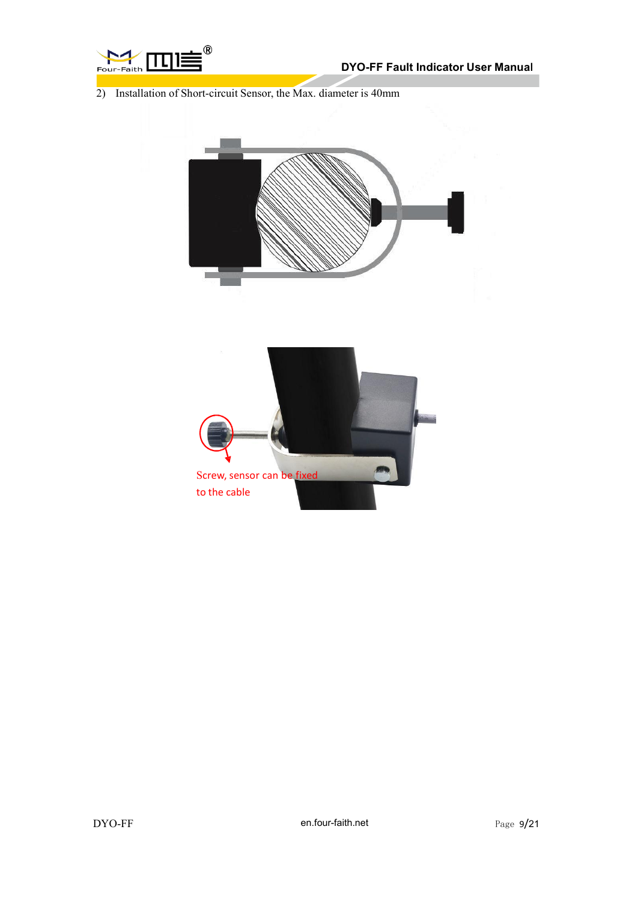

2) Installation of Short-circuit Sensor, the Max. diameter is 40mm

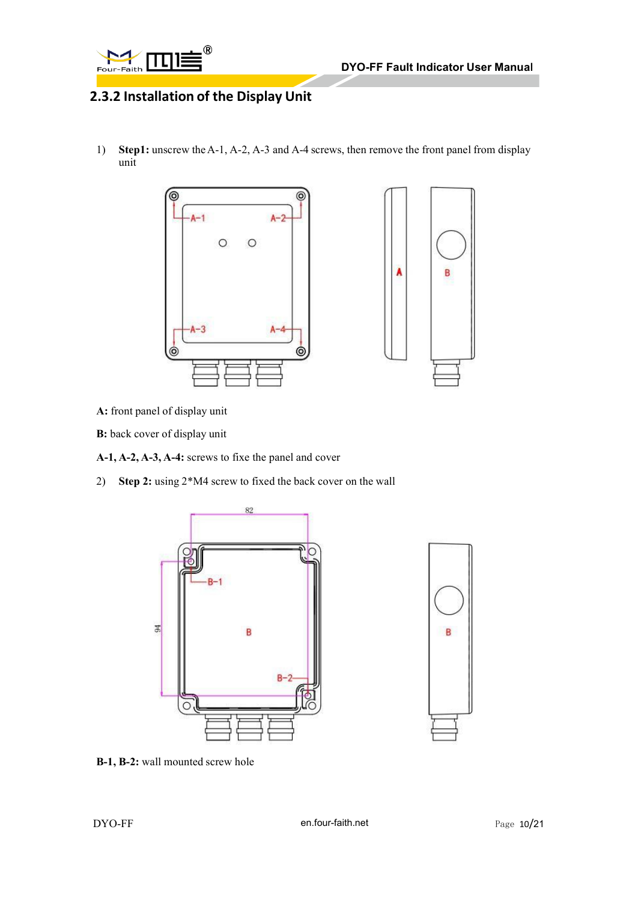

### <span id="page-9-0"></span>**2.3.2 Installation of the Display Unit**

1) **Step1:** unscrew theA-1, A-2, A-3 and A-4 screws, then remove the front panel from display unit



**A:** front panel of display unit

**B:** back cover of display unit

**A-1, A-2, A-3, A-4:** screws to fixe the panel and cover

2) **Step 2:** using 2\*M4 screw to fixed the back cover on the wall





**B-1, B-2:** wall mounted screw hole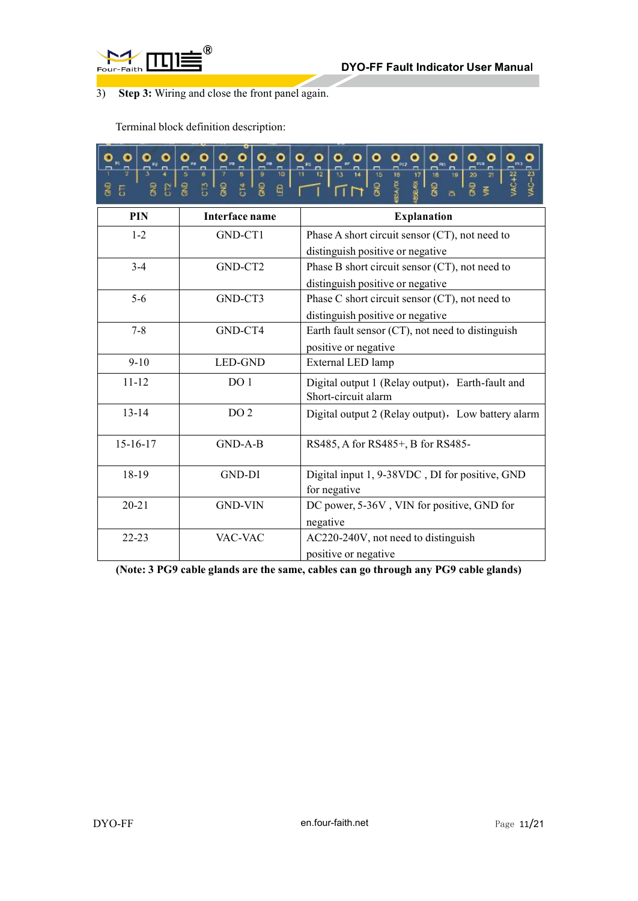



3) **Step 3:** Wiring and close the front panel again.

Terminal block definition description:

| 10<br>20<br>웋<br>E<br>웋<br>욿<br>욿<br>훓<br>Ě<br>B<br>통<br>$\theta$<br>' 롱<br>5<br>叾 |                 |                                                                                    |
|------------------------------------------------------------------------------------|-----------------|------------------------------------------------------------------------------------|
| PIN                                                                                | Interface name  | <b>Explanation</b>                                                                 |
| $1 - 2$                                                                            | GND-CT1         | Phase A short circuit sensor (CT), not need to<br>distinguish positive or negative |
| $3-4$                                                                              | GND-CT2         | Phase B short circuit sensor (CT), not need to<br>distinguish positive or negative |
| $5-6$                                                                              | GND-CT3         | Phase C short circuit sensor (CT), not need to<br>distinguish positive or negative |
| $7 - 8$                                                                            | GND-CT4         | Earth fault sensor (CT), not need to distinguish<br>positive or negative           |
| $9 - 10$                                                                           | <b>LED-GND</b>  | External LED lamp                                                                  |
| $11 - 12$                                                                          | DO <sub>1</sub> | Digital output 1 (Relay output), Earth-fault and<br>Short-circuit alarm            |
| $13 - 14$                                                                          | DO <sub>2</sub> | Digital output 2 (Relay output), Low battery alarm                                 |
| $15 - 16 - 17$                                                                     | GND-A-B         | RS485, A for RS485+, B for RS485-                                                  |
| 18-19                                                                              | GND-DI          | Digital input 1, 9-38VDC, DI for positive, GND<br>for negative                     |
| $20 - 21$                                                                          | <b>GND-VIN</b>  | DC power, 5-36V, VIN for positive, GND for<br>negative                             |
| $22 - 23$                                                                          | VAC-VAC         | AC220-240V, not need to distinguish<br>positive or negative                        |

**(Note: 3 PG9 cable glands are the same, cables can go through any PG9 cable glands)**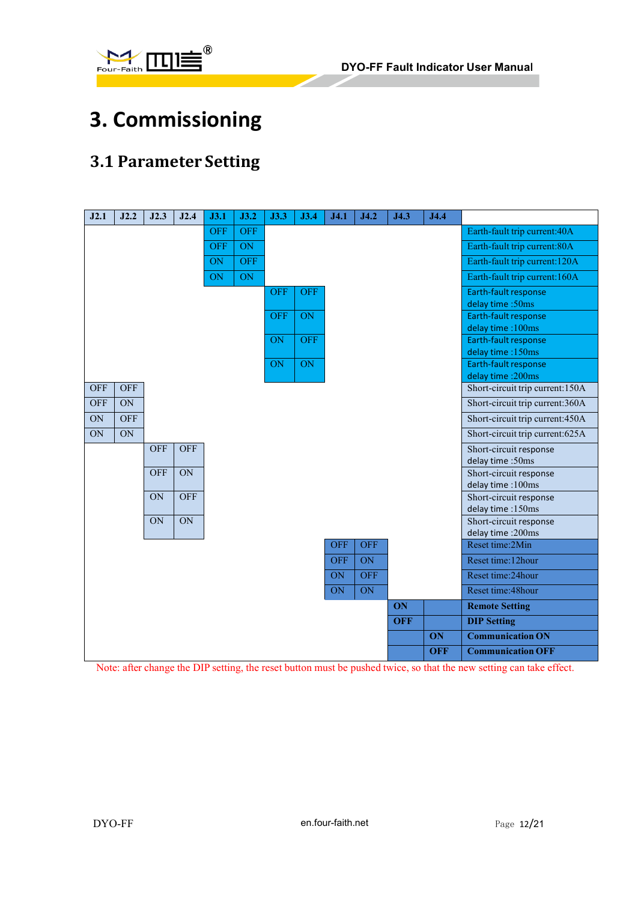

# <span id="page-11-0"></span>**3. Commissioning**

## <span id="page-11-1"></span>**3.1 Parameter Setting**

| J2.1            | J2.2      | J2.3       | J2.4             | J3.1       | J3.2       | <b>J3.3</b> | J3.4       | J4.1       | J4.2       | J4.3       | J4.4       |                                  |
|-----------------|-----------|------------|------------------|------------|------------|-------------|------------|------------|------------|------------|------------|----------------------------------|
|                 |           |            |                  | <b>OFF</b> | <b>OFF</b> |             |            |            |            |            |            | Earth-fault trip current: 40A    |
|                 |           |            |                  | <b>OFF</b> | ON         |             |            |            |            |            |            | Earth-fault trip current:80A     |
|                 |           |            |                  | ON         | <b>OFF</b> |             |            |            |            |            |            | Earth-fault trip current: 120A   |
|                 |           |            |                  | ON         | ON         |             |            |            |            |            |            | Earth-fault trip current:160A    |
|                 |           |            |                  |            |            | <b>OFF</b>  | <b>OFF</b> |            |            |            |            | Earth-fault response             |
|                 |           |            |                  |            |            |             |            |            |            |            |            | delay time :50ms                 |
|                 |           |            |                  |            |            | <b>OFF</b>  | ON         |            |            |            |            | Earth-fault response             |
|                 |           |            |                  |            |            |             |            |            |            |            |            | delay time: 100ms                |
|                 |           |            |                  |            |            | ON          | <b>OFF</b> |            |            |            |            | Earth-fault response             |
|                 |           |            |                  |            |            |             |            |            |            |            |            | delay time: 150ms                |
|                 |           |            |                  |            |            | ON          | ON         |            |            |            |            | Earth-fault response             |
|                 |           |            |                  |            |            |             |            |            |            |            |            | delay time : 200ms               |
| <b>OFF</b>      | OFF       |            |                  |            |            |             |            |            |            |            |            | Short-circuit trip current: 150A |
| <b>OFF</b>      | <b>ON</b> |            |                  |            |            |             |            |            |            |            |            | Short-circuit trip current:360A  |
| $\overline{ON}$ | OFF       |            |                  |            |            |             |            |            |            |            |            | Short-circuit trip current:450A  |
| ON              | <b>ON</b> |            |                  |            |            |             |            |            |            |            |            | Short-circuit trip current: 625A |
|                 |           | <b>OFF</b> | OFF              |            |            |             |            |            |            |            |            | Short-circuit response           |
|                 |           |            |                  |            |            |             |            |            |            |            |            | delay time: 50ms                 |
|                 |           | <b>OFF</b> | $\overline{ON}$  |            |            |             |            |            |            |            |            | Short-circuit response           |
|                 |           |            |                  |            |            |             |            |            |            |            |            | delay time: 100ms                |
|                 |           | ON         | $\overline{OFF}$ |            |            |             |            |            |            |            |            | Short-circuit response           |
|                 |           |            |                  |            |            |             |            |            |            |            |            | delay time :150ms                |
|                 |           | ON         | $\overline{ON}$  |            |            |             |            |            |            |            |            | Short-circuit response           |
|                 |           |            |                  |            |            |             |            |            |            |            |            | delay time : 200ms               |
|                 |           |            |                  |            |            |             |            | <b>OFF</b> | <b>OFF</b> |            |            | Reset time: 2Min                 |
|                 |           |            |                  |            |            |             |            | <b>OFF</b> | ON         |            |            | Reset time: 12hour               |
|                 |           |            |                  |            |            |             |            | ON         | <b>OFF</b> |            |            | Reset time: 24 hour              |
|                 |           |            |                  |            |            |             |            | ON         | ON         |            |            | Reset time: 48hour               |
|                 |           |            |                  |            |            |             |            |            |            | ON         |            | <b>Remote Setting</b>            |
|                 |           |            |                  |            |            |             |            |            |            | <b>OFF</b> |            | <b>DIP Setting</b>               |
|                 |           |            |                  |            |            |             |            |            |            |            | ON         | <b>Communication ON</b>          |
|                 |           |            |                  |            |            |             |            |            |            |            | <b>OFF</b> | <b>Communication OFF</b>         |
|                 |           |            |                  |            |            |             |            |            |            |            |            |                                  |

Note: after change the DIP setting, the reset button must be pushed twice, so that the new setting can take effect.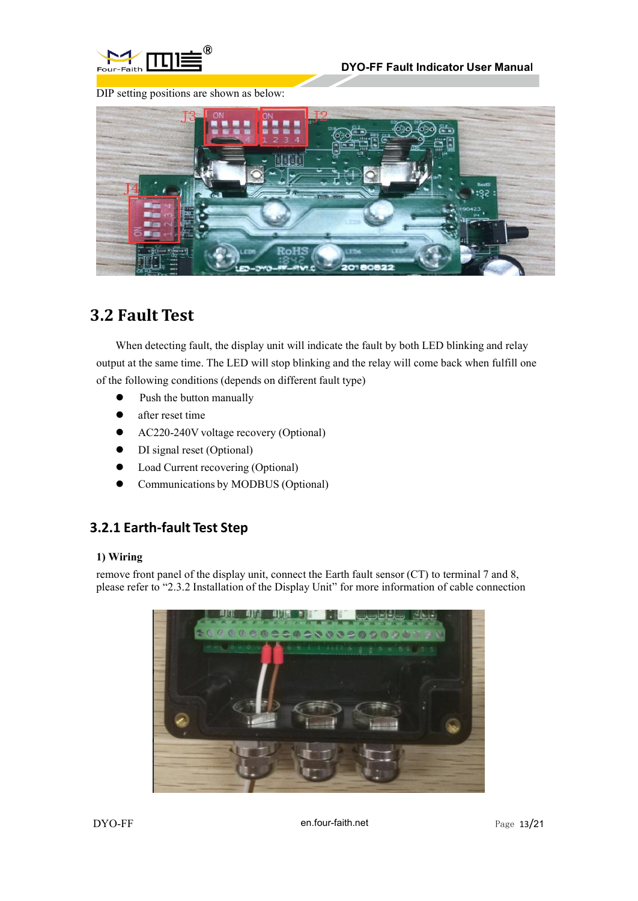

DIP setting positions are shown as below:



## <span id="page-12-0"></span>**3.2 Fault Test**

When detecting fault, the display unit will indicate the fault by both LED blinking and relay output at the same time. The LED will stop blinking and the relay will come back when fulfill one of the following conditions (depends on different fault type)

- Push the button manually
- after reset time
- AC220-240V voltage recovery (Optional)
- DI signal reset (Optional)
- Load Current recovering (Optional)
- Communications by MODBUS (Optional)

### <span id="page-12-1"></span>**3.2.1 Earth-fault Test Step**

#### **1) Wiring**

remove front panel of the display unit, connect the Earth fault sensor (CT) to terminal 7 and 8, please refer to "2.3.2 Installation of the Display Unit" for more information of cable connection

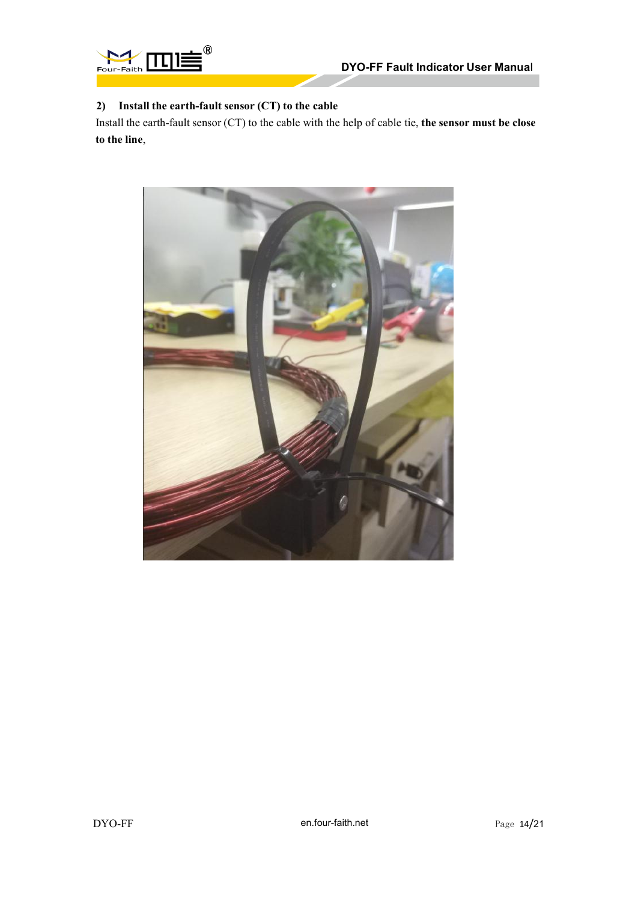

### **2) Install the earth-fault sensor (CT) to the cable**

Install the earth-fault sensor (CT) to the cable with the help of cable tie, **the sensor must be close to the line**,

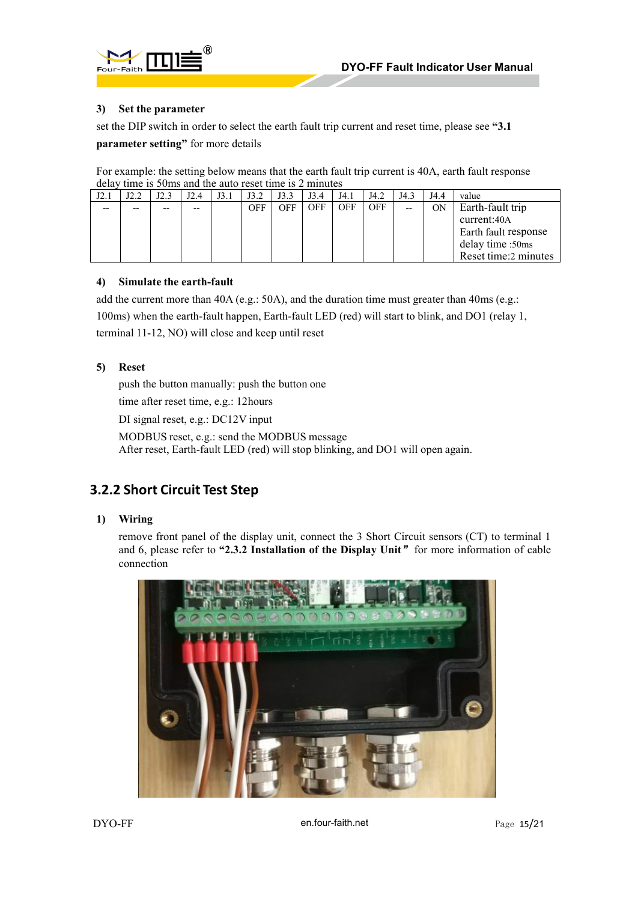

#### **3) Set the parameter**

set the DIP switch in order to select the earth fault trip current and reset time, please see **"3.1**

**parameter setting"** for more details

For example: the setting below means that the earth fault trip current is 40A, earth fault response delay time is 50ms and the auto reset time is 2 minutes

| J2.1 | J2.2 | J2.3  | J2.4 | J3.1 | J3.2 | J3.3 | J3.4       | J4.1 | J4.2       | J4.3 | J4.4 | value                |
|------|------|-------|------|------|------|------|------------|------|------------|------|------|----------------------|
| --   | --   | $- -$ | --   |      | OFF  | OFF  | <b>OFF</b> | OFF  | <b>OFF</b> | --   | ON   | Earth-fault trip     |
|      |      |       |      |      |      |      |            |      |            |      |      | current:40A          |
|      |      |       |      |      |      |      |            |      |            |      |      | Earth fault response |
|      |      |       |      |      |      |      |            |      |            |      |      | delay time: 50ms     |
|      |      |       |      |      |      |      |            |      |            |      |      | Reset time:2 minutes |

#### **4) Simulate the earth-fault**

add the current more than  $40A$  (e.g.:  $50A$ ), and the duration time must greater than  $40ms$  (e.g.: 100ms) when the earth-fault happen, Earth-fault LED (red) will start to blink, and DO1 (relay 1, terminal 11-12, NO) will close and keep until reset

#### **5) Reset**

push the button manually: push the button one

time after reset time, e.g.: 12hours

DI signal reset, e.g.: DC12V input

MODBUS reset, e.g.: send the MODBUS message After reset, Earth-fault LED (red) will stop blinking, and DO1 will open again.

### <span id="page-14-0"></span>**3.2.2 Short Circuit Test Step**

#### **1) Wiring**

remove front panel of the display unit, connect the 3 Short Circuit sensors (CT) to terminal 1 and 6, please refer to "2.3.2 Installation of the Display Unit" for more information of cable connection

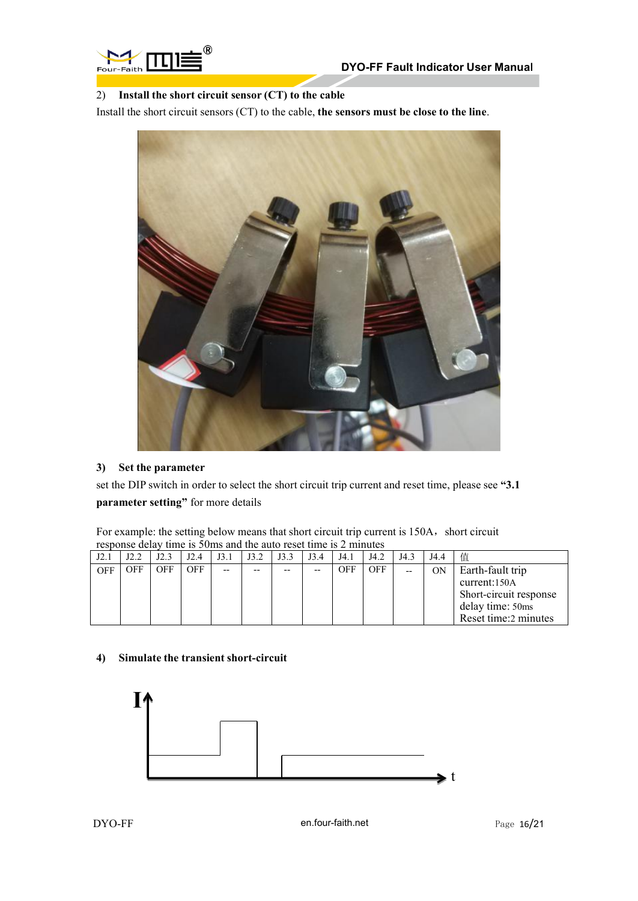

#### 2) **Install the short circuit sensor (CT) to the cable**

Install the short circuit sensors (CT) to the cable, **the sensors must be close to the line**.



#### **3) Set the parameter**

set the DIP switch in order to select the short circuit trip current and reset time, please see **"3.1 parameter setting"** for more details

For example: the setting below means that short circuit trip current is 150A, short circuit response delay time is 50ms and the auto reset time is 2 minutes

| J2.1       | J2.2       | J2.3 | J2.4       | J3.1 | J3.2 | J3.3  | J3.4 | J4.1       | J4.2       | J4.3  | J4.4 | 值                      |
|------------|------------|------|------------|------|------|-------|------|------------|------------|-------|------|------------------------|
| <b>OFF</b> | <b>OFF</b> | OFF  | <b>OFF</b> | --   | --   | $- -$ | --   | <b>OFF</b> | <b>OFF</b> | $- -$ | ON   | Earth-fault trip       |
|            |            |      |            |      |      |       |      |            |            |       |      | current:150A           |
|            |            |      |            |      |      |       |      |            |            |       |      | Short-circuit response |
|            |            |      |            |      |      |       |      |            |            |       |      | delay time: 50ms       |
|            |            |      |            |      |      |       |      |            |            |       |      | Reset time:2 minutes   |

#### **4) Simulate the transient short-circuit**

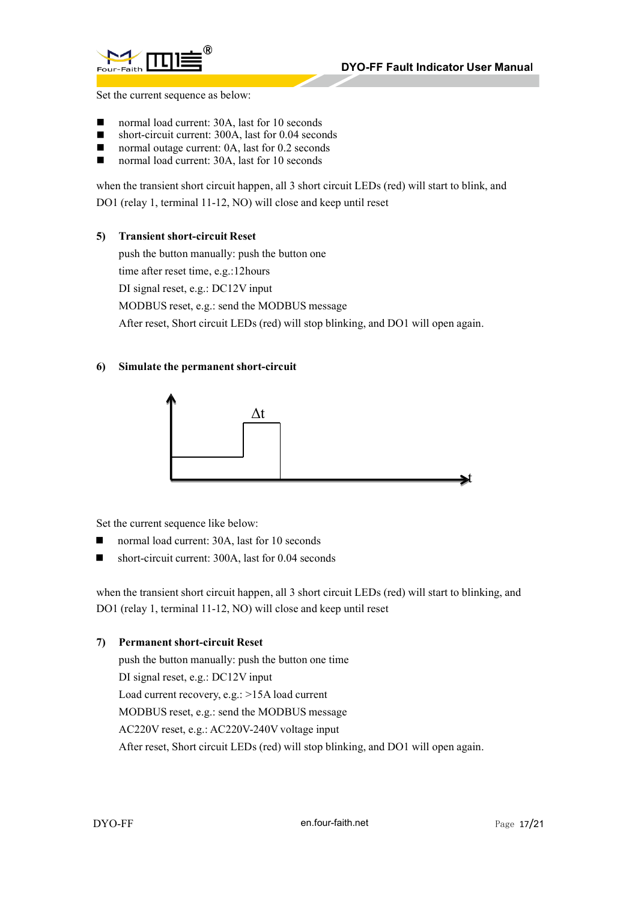

Set the current sequence as below:

- normal load current: 30A, last for 10 seconds
- short-circuit current: 300A, last for 0.04 seconds
- normal outage current: 0A, last for 0.2 seconds
- normal load current: 30A, last for 10 seconds

when the transient short circuit happen, all 3 short circuit LEDs (red) will start to blink, and DO1 (relay 1, terminal 11-12, NO) will close and keep until reset

#### **5) Transient short-circuit Reset**

push the button manually: push the button one time after reset time, e.g.:12hours DI signal reset, e.g.: DC12V input MODBUS reset, e.g.: send the MODBUS message After reset, Short circuit LEDs (red) will stop blinking, and DO1 will open again.

#### **6) Simulate the permanent short-circuit**



Set the current sequence like below:

- normal load current: 30A, last for 10 seconds
- short-circuit current: 300A, last for 0.04 seconds

when the transient short circuit happen, all 3 short circuit LEDs (red) will start to blinking, and DO1 (relay 1, terminal 11-12, NO) will close and keep until reset

#### **7) Permanent short-circuit Reset**

push the button manually: push the button one time DI signal reset, e.g.: DC12V input Load current recovery, e.g.: >15A load current MODBUS reset, e.g.: send the MODBUS message AC220V reset, e.g.: AC220V-240V voltage input After reset, Short circuit LEDs (red) will stop blinking, and DO1 will open again.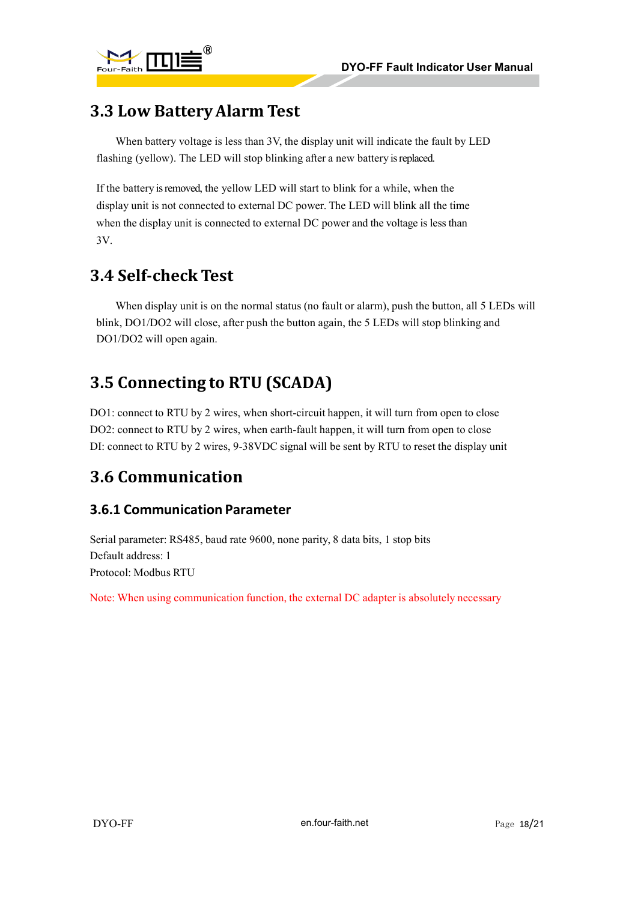

## <span id="page-17-0"></span>**3.3 Low BatteryAlarm Test**

When battery voltage is less than 3V, the display unit will indicate the fault by LED flashing (yellow). The LED will stop blinking after a new battery is replaced.

If the battery isremoved, the yellow LED will start to blink for a while, when the display unit is not connected to external DC power. The LED will blink all the time when the display unit is connected to external DC power and the voltage is less than 3V.

## <span id="page-17-1"></span>**3.4 Self-check Test**

When display unit is on the normal status (no fault or alarm), push the button, all 5 LEDs will blink, DO1/DO2 will close, after push the button again, the 5 LEDs will stop blinking and DO1/DO2 will open again.

## <span id="page-17-2"></span>**3.5 Connecting to RTU (SCADA)**

DO1: connect to RTU by 2 wires, when short-circuit happen, it will turn from open to close DO2: connect to RTU by 2 wires, when earth-fault happen, it will turn from open to close DI: connect to RTU by 2 wires, 9-38VDC signal will be sent by RTU to reset the display unit

## <span id="page-17-3"></span>**3.6 Communication**

### <span id="page-17-4"></span>**3.6.1 Communication Parameter**

Serial parameter: RS485, baud rate 9600, none parity, 8 data bits, 1 stop bits Default address: 1 Protocol: Modbus RTU

Note: When using communication function, the external DC adapter is absolutely necessary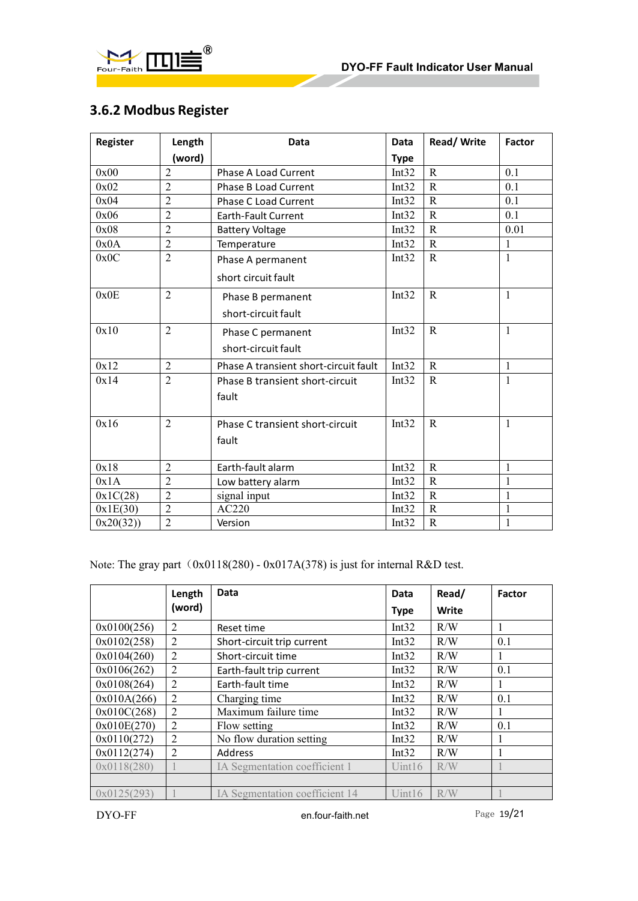



### <span id="page-18-0"></span>**3.6.2 Modbus Register**

| Register | Length         | Data                                  | Data        | Read/Write  | <b>Factor</b> |
|----------|----------------|---------------------------------------|-------------|-------------|---------------|
|          | (word)         |                                       | <b>Type</b> |             |               |
| 0x00     | $\overline{2}$ | Phase A Load Current                  | Int32       | $\mathbf R$ | 0.1           |
| 0x02     | $\overline{2}$ | <b>Phase B Load Current</b>           | Int32       | $\mathbf R$ | 0.1           |
| 0x04     | $\overline{2}$ | <b>Phase C Load Current</b>           | Int32       | $\mathbf R$ | 0.1           |
| 0x06     | $\overline{2}$ | <b>Earth-Fault Current</b>            | Int32       | $\mathbf R$ | 0.1           |
| 0x08     | $\overline{2}$ | <b>Battery Voltage</b>                | Int32       | $\mathbf R$ | 0.01          |
| 0x0A     | $\overline{2}$ | Temperature                           | Int32       | $\mathbf R$ | 1             |
| 0x0C     | $\overline{2}$ | Phase A permanent                     | Int32       | $\mathbf R$ | $\mathbf{1}$  |
|          |                | short circuit fault                   |             |             |               |
| 0x0E     | $\overline{2}$ | Phase B permanent                     | Int32       | $\mathbf R$ | $\mathbf{1}$  |
|          |                | short-circuit fault                   |             |             |               |
| 0x10     | $\overline{2}$ | Phase C permanent                     | Int32       | $\mathbf R$ | $\mathbf{1}$  |
|          |                | short-circuit fault                   |             |             |               |
| 0x12     | $\overline{2}$ | Phase A transient short-circuit fault | Int32       | $\mathbf R$ | $\mathbf{1}$  |
| 0x14     | $\overline{2}$ | Phase B transient short-circuit       | Int32       | $\mathbf R$ | $\mathbf{1}$  |
|          |                | fault                                 |             |             |               |
| 0x16     | $\overline{2}$ | Phase C transient short-circuit       | Int32       | $\mathbf R$ | $\mathbf{1}$  |
|          |                | fault                                 |             |             |               |
| 0x18     | $\overline{2}$ | Earth-fault alarm                     | Int32       | $\mathbf R$ | $\mathbf{1}$  |
| 0x1A     | $\overline{2}$ | Low battery alarm                     | Int32       | $\mathbf R$ | $\mathbf{1}$  |
| 0x1C(28) | $\overline{2}$ | signal input                          | Int32       | $\mathbf R$ | $\mathbf{1}$  |
| 0x1E(30) | $\overline{c}$ | AC220                                 | Int32       | $\mathbf R$ | $\mathbf{1}$  |
| 0x20(32) | $\overline{2}$ | Version                               | Int32       | $\mathbf R$ | $\mathbf{1}$  |

Note: The gray part  $(0x0118(280) - 0x017A(378)$  is just for internal R&D test.

|             | Length | Data                           | <b>Data</b> | Read/ | Factor |
|-------------|--------|--------------------------------|-------------|-------|--------|
|             | (word) |                                | <b>Type</b> | Write |        |
| 0x0100(256) | 2      | Reset time                     | Int32       | R/W   |        |
| 0x0102(258) | 2      | Short-circuit trip current     | Int32       | R/W   | 0.1    |
| 0x0104(260) | 2      | Short-circuit time             | Int32       | R/W   |        |
| 0x0106(262) | 2      | Earth-fault trip current       | Int32       | R/W   | 0.1    |
| 0x0108(264) | 2      | Earth-fault time               | Int32       | R/W   |        |
| 0x010A(266) | 2      | Charging time                  | Int32       | R/W   | 0.1    |
| 0x010C(268) | 2      | Maximum failure time           | Int32       | R/W   | 1      |
| 0x010E(270) | 2      | Flow setting                   | Int32       | R/W   | 0.1    |
| 0x0110(272) | 2      | No flow duration setting       | Int $32$    | R/W   |        |
| 0x0112(274) | 2      | Address                        | Int $32$    | R/W   |        |
| 0x0118(280) |        | IA Segmentation coefficient 1  | Uint16      | R/W   |        |
|             |        |                                |             |       |        |
| 0x0125(293) |        | IA Segmentation coefficient 14 | Uint16      | R/W   |        |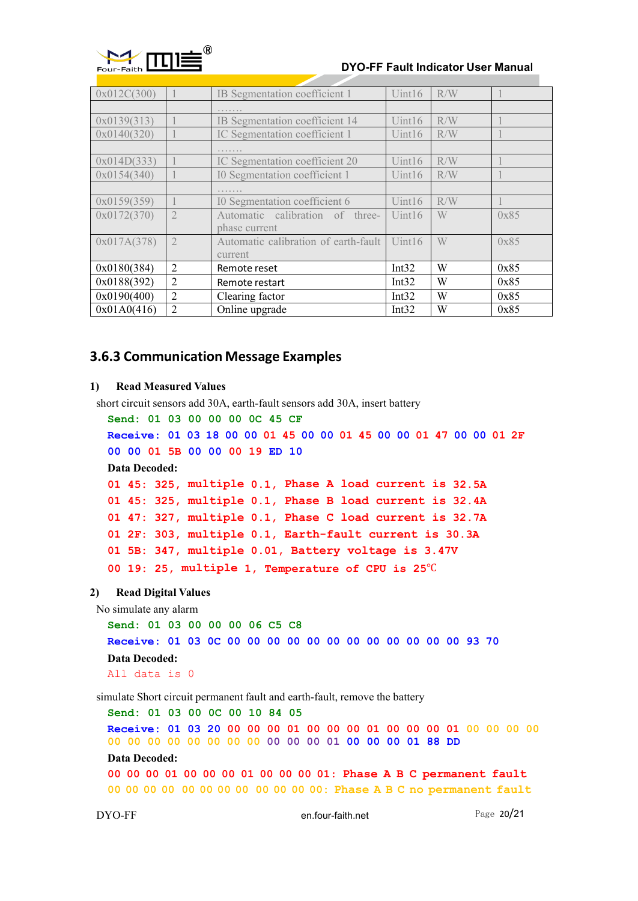

#### **DYO-FF Fault Indicator User Manual**

| 0x012C(300) |                | IB Segmentation coefficient 1        | Uint16 | R/W |      |
|-------------|----------------|--------------------------------------|--------|-----|------|
|             |                | .                                    |        |     |      |
| 0x0139(313) |                | IB Segmentation coefficient 14       | Uint16 | R/W |      |
| 0x0140(320) |                | IC Segmentation coefficient 1        | Uint16 | R/W |      |
|             |                | .                                    |        |     |      |
| 0x014D(333) |                | IC Segmentation coefficient 20       | Uint16 | R/W |      |
| 0x0154(340) |                | I0 Segmentation coefficient 1        | Uint16 | R/W |      |
|             |                | .                                    |        |     |      |
| 0x0159(359) |                | I0 Segmentation coefficient 6        | Uint16 | R/W |      |
| 0x0172(370) | $\overline{2}$ | Automatic calibration of three-      | Uint16 | W   | 0x85 |
|             |                | phase current                        |        |     |      |
| 0x017A(378) | $\overline{2}$ | Automatic calibration of earth-fault | Uint16 | W   | 0x85 |
|             |                | current                              |        |     |      |
| 0x0180(384) | 2              | Remote reset                         | Int32  | W   | 0x85 |
| 0x0188(392) | 2              | Remote restart                       | Int32  | W   | 0x85 |
| 0x0190(400) | 2              | Clearing factor                      | Int32  | W   | 0x85 |
| 0x01A0(416) | $\overline{2}$ | Online upgrade                       | Int32  | W   | 0x85 |

### <span id="page-19-0"></span>**3.6.3 Communication Message Examples**

#### **1) Read Measured Values**

short circuit sensors add 30A, earth-fault sensors add 30A, insert battery

```
Send: 01 03 00 00 00 0C 45 CF
Receive: 01 03 18 00 00 01 45 00 00 01 45 00 00 01 47 00 00 01 2F
00 00 01 5B 00 00 00 19 ED 10
Data Decoded:
01 45: 325, multiple 0.1, Phase A load current is 32.5A
01 45: 325, multiple 0.1, Phase B load current is 32.4A
01 47: 327, multiple 0.1, Phase C load current is 32.7A
01 2F: 303, multiple 0.1, Earth-fault current is 30.3A
01 5B: 347, multiple 0.01, Battery voltage is 3.47V
00 19: 25, multiple 1, Temperature of CPU is 25
```
#### **2) Read Digital Values**

No simulate any alarm

**Send: 01 03 00 00 00 06 C5 C8**

**Receive: 01 03 0C 00 00 00 00 00 00 00 00 00 00 00 00 93 70 Data Decoded:**

All data is 0

simulate Short circuit permanent fault and earth-fault, remove the battery

**Send: 01 03 00 0C 00 10 84 05**

**Receive: 01 03 20 00 00 00 01 00 00 00 01 00 00 00 01 00 00 00 00 00 00 00 00 00 00 00 00 00 00 00 01 00 00 00 01 88 DD**

#### **Data Decoded:**

**00 00 00 01 00 00 00 01 00 00 00 01: Phase A B C permanent fault 00 00 00 00 00 00 00 00 00 00 00 00: Phase A B C no permanent fault**

DYO-FF en.four-faith.net Page 20/21